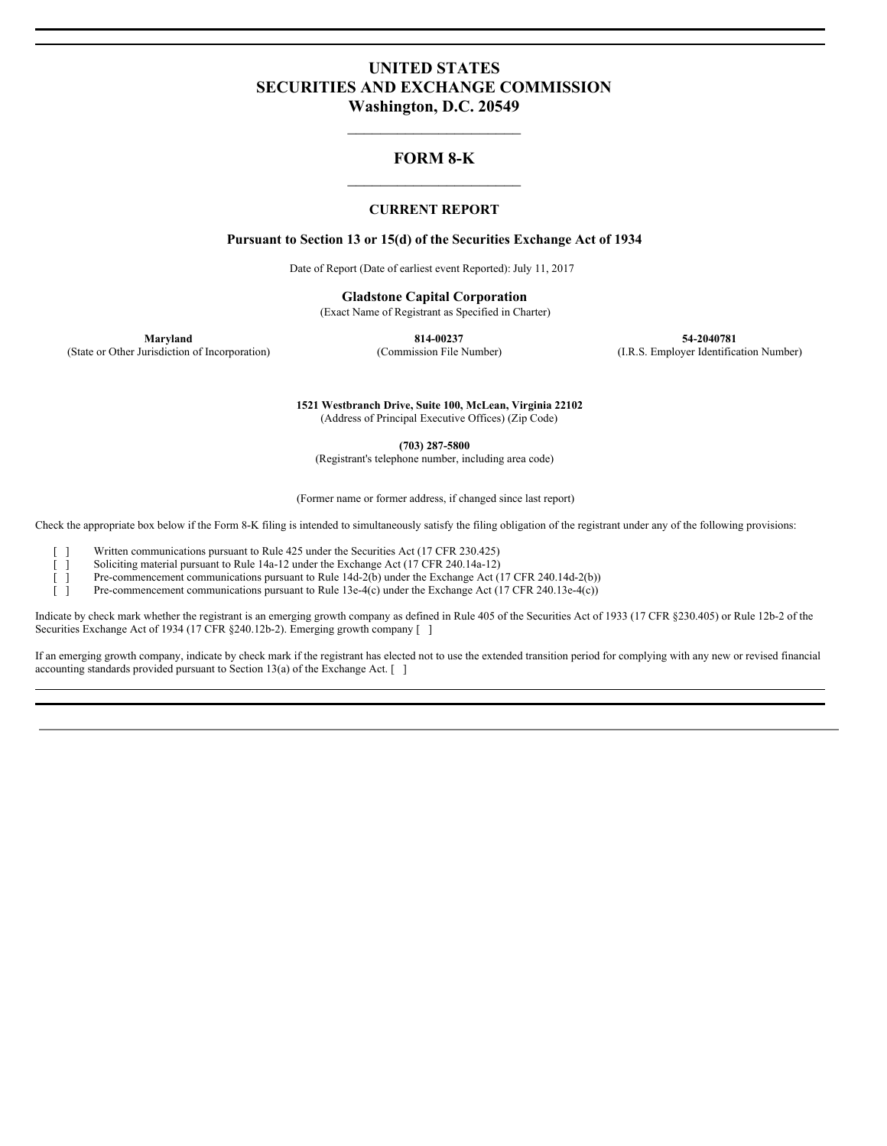# **UNITED STATES SECURITIES AND EXCHANGE COMMISSION Washington, D.C. 20549**

# **FORM 8-K**  $\mathcal{L}_\text{max}$

 $\mathcal{L}_\text{max}$ 

### **CURRENT REPORT**

#### **Pursuant to Section 13 or 15(d) of the Securities Exchange Act of 1934**

Date of Report (Date of earliest event Reported): July 11, 2017

**Gladstone Capital Corporation** (Exact Name of Registrant as Specified in Charter)

**Maryland 814-00237 54-2040781** (State or Other Jurisdiction of Incorporation) (Commission File Number) (I.R.S. Employer Identification Number)

> **1521 Westbranch Drive, Suite 100, McLean, Virginia 22102** (Address of Principal Executive Offices) (Zip Code)

> > **(703) 287-5800**

(Registrant's telephone number, including area code)

(Former name or former address, if changed since last report)

Check the appropriate box below if the Form 8-K filing is intended to simultaneously satisfy the filing obligation of the registrant under any of the following provisions:

[ ] Written communications pursuant to Rule 425 under the Securities Act (17 CFR 230.425)

[ ] Soliciting material pursuant to Rule 14a-12 under the Exchange Act (17 CFR 240.14a-12)

[ ] Pre-commencement communications pursuant to Rule 14d-2(b) under the Exchange Act (17 CFR 240.14d-2(b))

[ ] Pre-commencement communications pursuant to Rule 13e-4(c) under the Exchange Act (17 CFR 240.13e-4(c))

Indicate by check mark whether the registrant is an emerging growth company as defined in Rule 405 of the Securities Act of 1933 (17 CFR §230.405) or Rule 12b-2 of the Securities Exchange Act of 1934 (17 CFR §240.12b-2). Emerging growth company [ ]

If an emerging growth company, indicate by check mark if the registrant has elected not to use the extended transition period for complying with any new or revised financial accounting standards provided pursuant to Section 13(a) of the Exchange Act. [ ]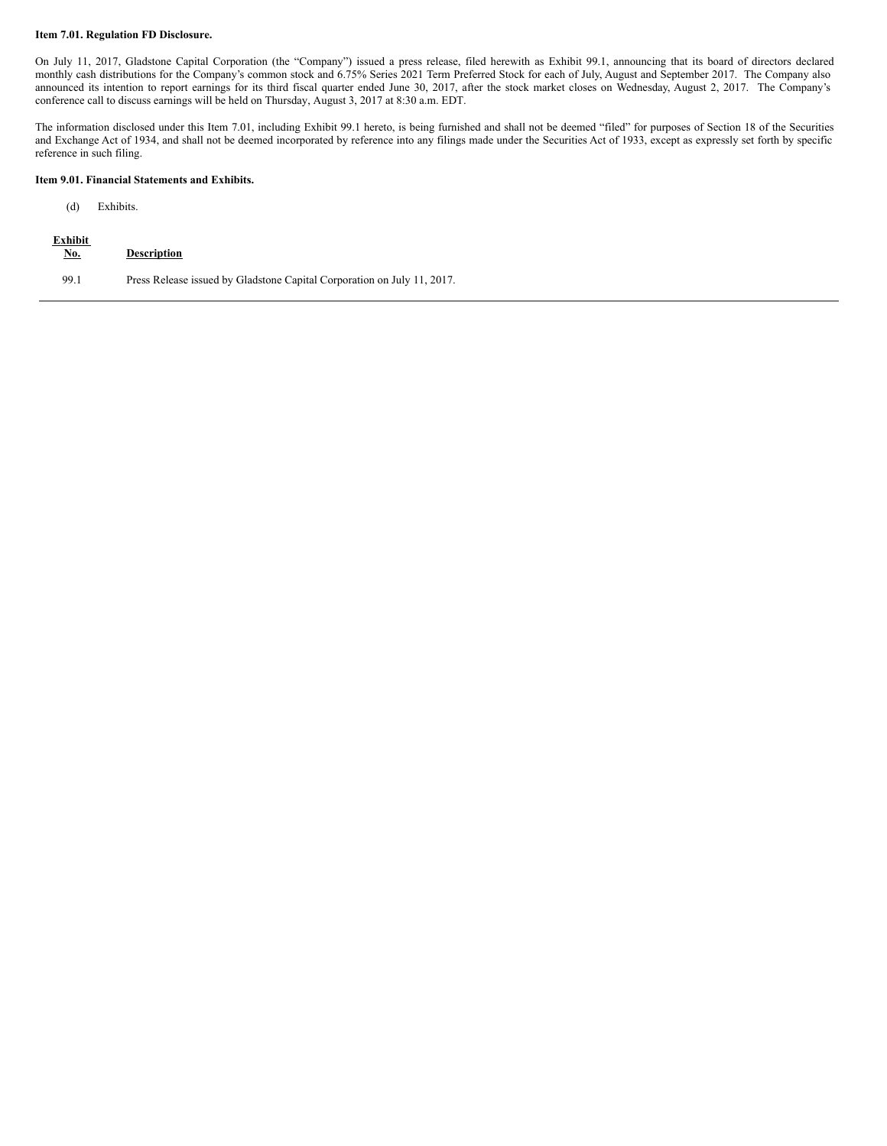#### **Item 7.01. Regulation FD Disclosure.**

On July 11, 2017, Gladstone Capital Corporation (the "Company") issued a press release, filed herewith as Exhibit 99.1, announcing that its board of directors declared monthly cash distributions for the Company's common stock and 6.75% Series 2021 Term Preferred Stock for each of July, August and September 2017. The Company also announced its intention to report earnings for its third fiscal quarter ended June 30, 2017, after the stock market closes on Wednesday, August 2, 2017. The Company's conference call to discuss earnings will be held on Thursday, August 3, 2017 at 8:30 a.m. EDT.

The information disclosed under this Item 7.01, including Exhibit 99.1 hereto, is being furnished and shall not be deemed "filed" for purposes of Section 18 of the Securities and Exchange Act of 1934, and shall not be deemed incorporated by reference into any filings made under the Securities Act of 1933, except as expressly set forth by specific reference in such filing.

#### **Item 9.01. Financial Statements and Exhibits.**

### (d) Exhibits.

| <b>Exhibit</b><br><u>No.</u> | <b>Description</b>                                                      |
|------------------------------|-------------------------------------------------------------------------|
| 99.1                         | Press Release issued by Gladstone Capital Corporation on July 11, 2017. |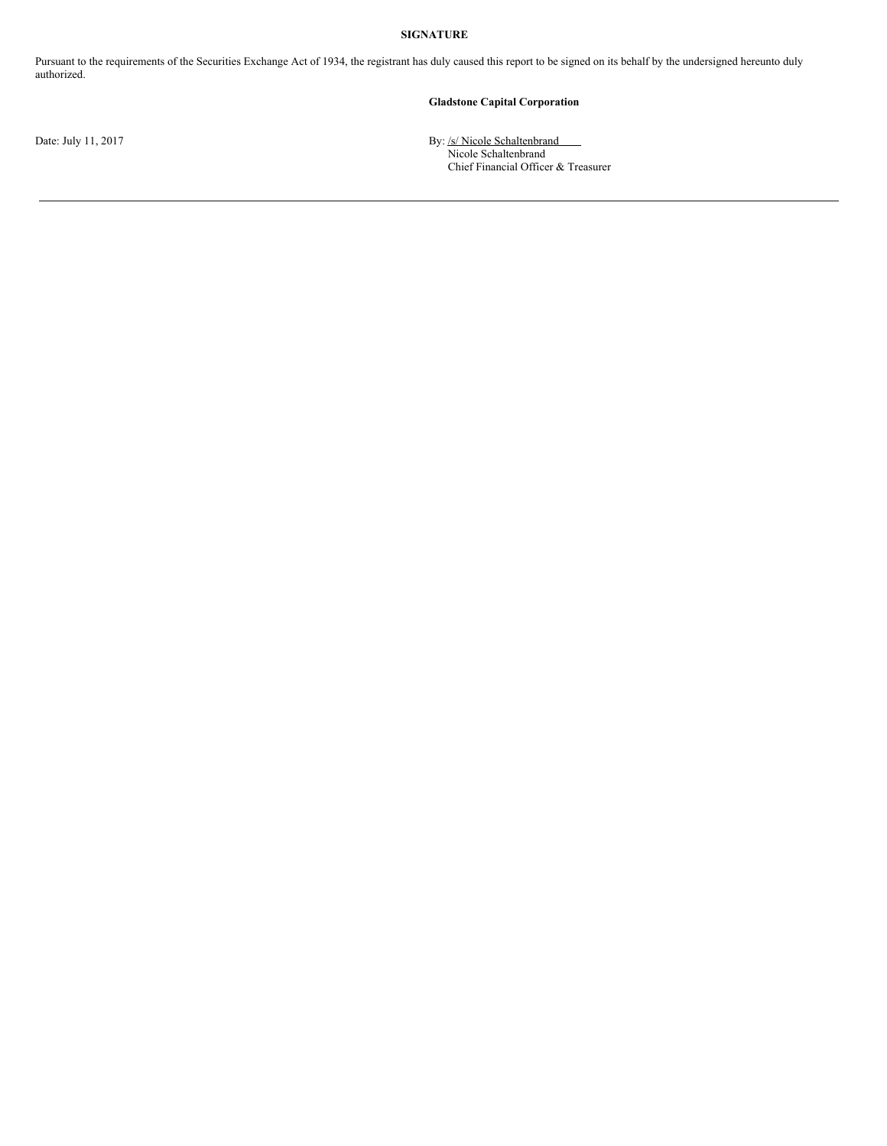### **SIGNATURE**

Pursuant to the requirements of the Securities Exchange Act of 1934, the registrant has duly caused this report to be signed on its behalf by the undersigned hereunto duly authorized.

### **Gladstone Capital Corporation**

Date: July 11, 2017 **By:** /s/ Nicole Schaltenbrand Nicole Schaltenbrand Chief Financial Officer & Treasurer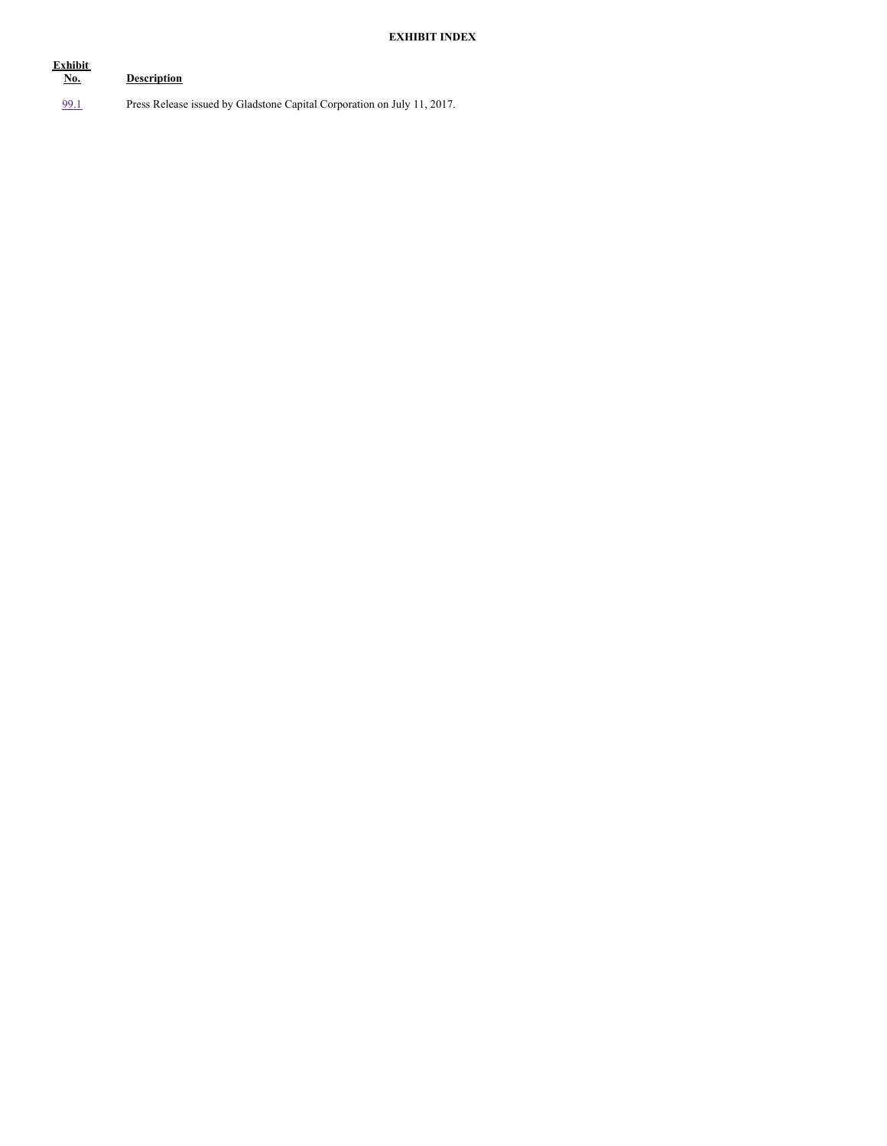# **EXHIBIT INDEX**

| Exhibit<br><u>No.</u> | <b>Description</b>                                                      |
|-----------------------|-------------------------------------------------------------------------|
| <u>99.1</u>           | Press Release issued by Gladstone Capital Corporation on July 11, 2017. |